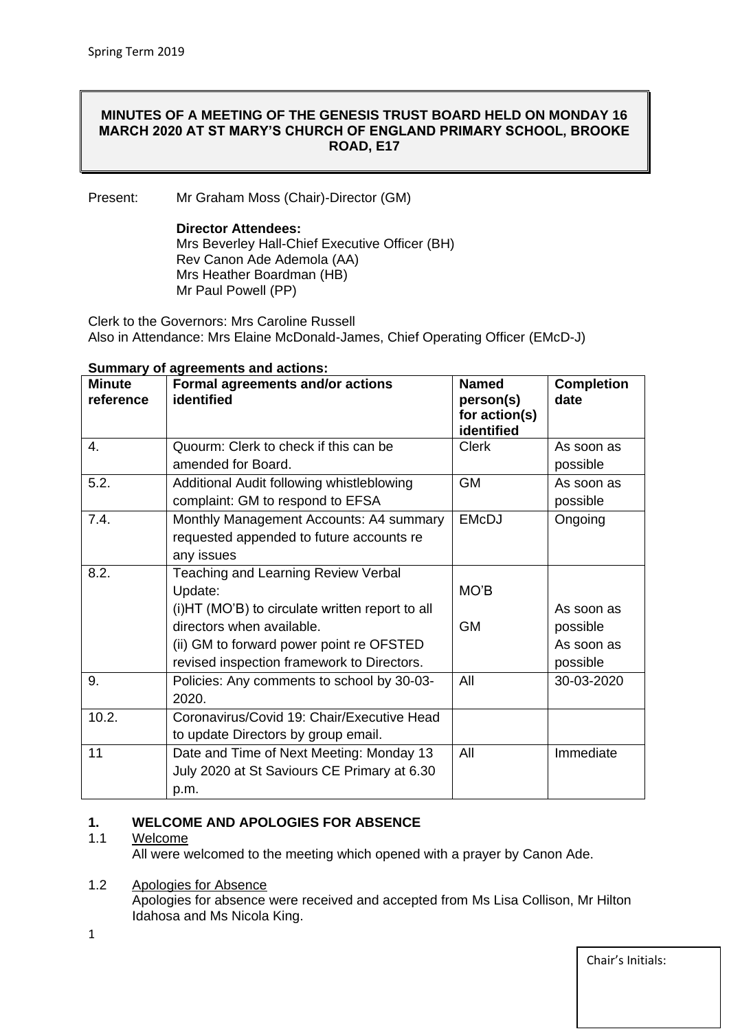## **MINUTES OF A MEETING OF THE GENESIS TRUST BOARD HELD ON MONDAY 16 MARCH 2020 AT ST MARY'S CHURCH OF ENGLAND PRIMARY SCHOOL, BROOKE ROAD, E17**

Present: Mr Graham Moss (Chair)-Director (GM)

#### **Director Attendees:**

Mrs Beverley Hall-Chief Executive Officer (BH) Rev Canon Ade Ademola (AA) Mrs Heather Boardman (HB) Mr Paul Powell (PP)

Clerk to the Governors: Mrs Caroline Russell Also in Attendance: Mrs Elaine McDonald-James, Chief Operating Officer (EMcD-J)

| <b>Minute</b><br>reference | Formal agreements and/or actions<br>identified  | <b>Named</b><br>person(s)<br>for action(s) | <b>Completion</b><br>date |
|----------------------------|-------------------------------------------------|--------------------------------------------|---------------------------|
|                            |                                                 | identified                                 |                           |
| 4.                         | Quourm: Clerk to check if this can be           | Clerk                                      | As soon as                |
|                            | amended for Board.                              |                                            | possible                  |
| 5.2.                       | Additional Audit following whistleblowing       | <b>GM</b>                                  | As soon as                |
|                            | complaint: GM to respond to EFSA                |                                            | possible                  |
| 7.4.                       | Monthly Management Accounts: A4 summary         | <b>EMcDJ</b>                               | Ongoing                   |
|                            | requested appended to future accounts re        |                                            |                           |
|                            | any issues                                      |                                            |                           |
| 8.2.                       | <b>Teaching and Learning Review Verbal</b>      |                                            |                           |
|                            | Update:                                         | MO'B                                       |                           |
|                            | (i)HT (MO'B) to circulate written report to all |                                            | As soon as                |
|                            | directors when available.                       | <b>GM</b>                                  | possible                  |
|                            | (ii) GM to forward power point re OFSTED        |                                            | As soon as                |
|                            | revised inspection framework to Directors.      |                                            | possible                  |
| 9.                         | Policies: Any comments to school by 30-03-      | All                                        | 30-03-2020                |
|                            | 2020.                                           |                                            |                           |
| 10.2.                      | Coronavirus/Covid 19: Chair/Executive Head      |                                            |                           |
|                            | to update Directors by group email.             |                                            |                           |
| 11                         | Date and Time of Next Meeting: Monday 13        | All                                        | Immediate                 |
|                            | July 2020 at St Saviours CE Primary at 6.30     |                                            |                           |
|                            | p.m.                                            |                                            |                           |

#### **Summary of agreements and actions:**

#### **1. WELCOME AND APOLOGIES FOR ABSENCE**

#### 1.1 Welcome

All were welcomed to the meeting which opened with a prayer by Canon Ade.

## 1.2 Apologies for Absence

Apologies for absence were received and accepted from Ms Lisa Collison, Mr Hilton Idahosa and Ms Nicola King.

1

Chair's Initials: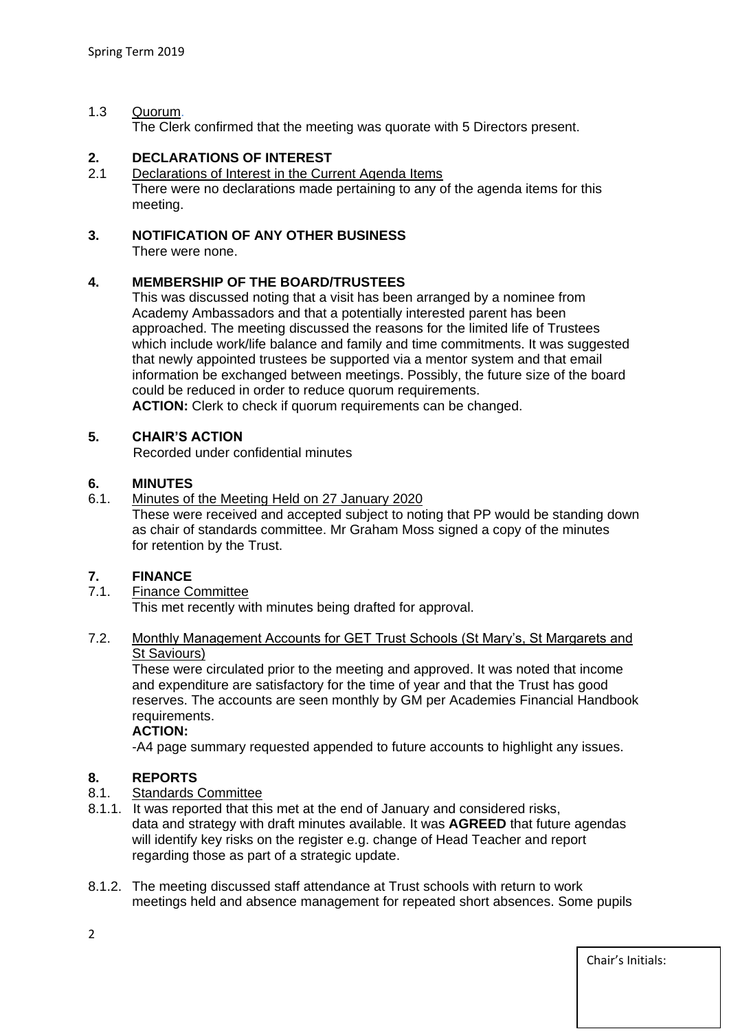## 1.3 Quorum.

The Clerk confirmed that the meeting was quorate with 5 Directors present.

# **2. DECLARATIONS OF INTEREST**

2.1 Declarations of Interest in the Current Agenda Items There were no declarations made pertaining to any of the agenda items for this meeting.

## **3. NOTIFICATION OF ANY OTHER BUSINESS**

There were none.

## **4. MEMBERSHIP OF THE BOARD/TRUSTEES**

This was discussed noting that a visit has been arranged by a nominee from Academy Ambassadors and that a potentially interested parent has been approached. The meeting discussed the reasons for the limited life of Trustees which include work/life balance and family and time commitments. It was suggested that newly appointed trustees be supported via a mentor system and that email information be exchanged between meetings. Possibly, the future size of the board could be reduced in order to reduce quorum requirements.

**ACTION:** Clerk to check if quorum requirements can be changed.

# **5. CHAIR'S ACTION**

Recorded under confidential minutes

## **6. MINUTES**

6.1. Minutes of the Meeting Held on 27 January 2020

These were received and accepted subject to noting that PP would be standing down as chair of standards committee. Mr Graham Moss signed a copy of the minutes for retention by the Trust.

## **7. FINANCE**

7.1. Finance Committee

This met recently with minutes being drafted for approval.

## 7.2. Monthly Management Accounts for GET Trust Schools (St Mary's, St Margarets and **St Saviours**)

These were circulated prior to the meeting and approved. It was noted that income and expenditure are satisfactory for the time of year and that the Trust has good reserves. The accounts are seen monthly by GM per Academies Financial Handbook requirements.

#### **ACTION:**

-A4 page summary requested appended to future accounts to highlight any issues.

## **8. REPORTS**

- 8.1. Standards Committee
- 8.1.1. It was reported that this met at the end of January and considered risks, data and strategy with draft minutes available. It was **AGREED** that future agendas will identify key risks on the register e.g. change of Head Teacher and report regarding those as part of a strategic update.
- 8.1.2. The meeting discussed staff attendance at Trust schools with return to work meetings held and absence management for repeated short absences. Some pupils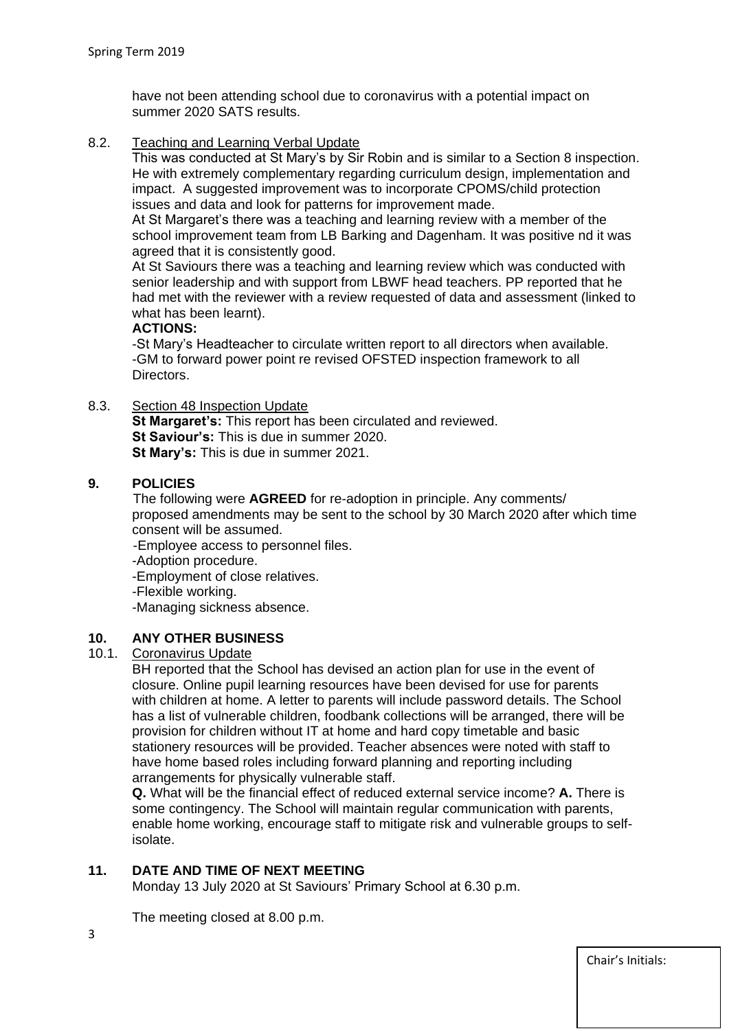have not been attending school due to coronavirus with a potential impact on summer 2020 SATS results.

8.2. Teaching and Learning Verbal Update

This was conducted at St Mary's by Sir Robin and is similar to a Section 8 inspection. He with extremely complementary regarding curriculum design, implementation and impact. A suggested improvement was to incorporate CPOMS/child protection issues and data and look for patterns for improvement made.

At St Margaret's there was a teaching and learning review with a member of the school improvement team from LB Barking and Dagenham. It was positive nd it was agreed that it is consistently good.

At St Saviours there was a teaching and learning review which was conducted with senior leadership and with support from LBWF head teachers. PP reported that he had met with the reviewer with a review requested of data and assessment (linked to what has been learnt).

## **ACTIONS:**

-St Mary's Headteacher to circulate written report to all directors when available. -GM to forward power point re revised OFSTED inspection framework to all Directors.

8.3. Section 48 Inspection Update

**St Margaret's:** This report has been circulated and reviewed. **St Saviour's:** This is due in summer 2020. **St Mary's:** This is due in summer 2021.

# **9. POLICIES**

 The following were **AGREED** for re-adoption in principle. Any comments/ proposed amendments may be sent to the school by 30 March 2020 after which time consent will be assumed.

-Employee access to personnel files.

-Adoption procedure.

-Employment of close relatives.

-Flexible working.

-Managing sickness absence.

# **10. ANY OTHER BUSINESS**

## Coronavirus Update

BH reported that the School has devised an action plan for use in the event of closure. Online pupil learning resources have been devised for use for parents with children at home. A letter to parents will include password details. The School has a list of vulnerable children, foodbank collections will be arranged, there will be provision for children without IT at home and hard copy timetable and basic stationery resources will be provided. Teacher absences were noted with staff to have home based roles including forward planning and reporting including arrangements for physically vulnerable staff.

**Q.** What will be the financial effect of reduced external service income? **A.** There is some contingency. The School will maintain regular communication with parents, enable home working, encourage staff to mitigate risk and vulnerable groups to selfisolate.

# **11. DATE AND TIME OF NEXT MEETING**

Monday 13 July 2020 at St Saviours' Primary School at 6.30 p.m.

The meeting closed at 8.00 p.m.